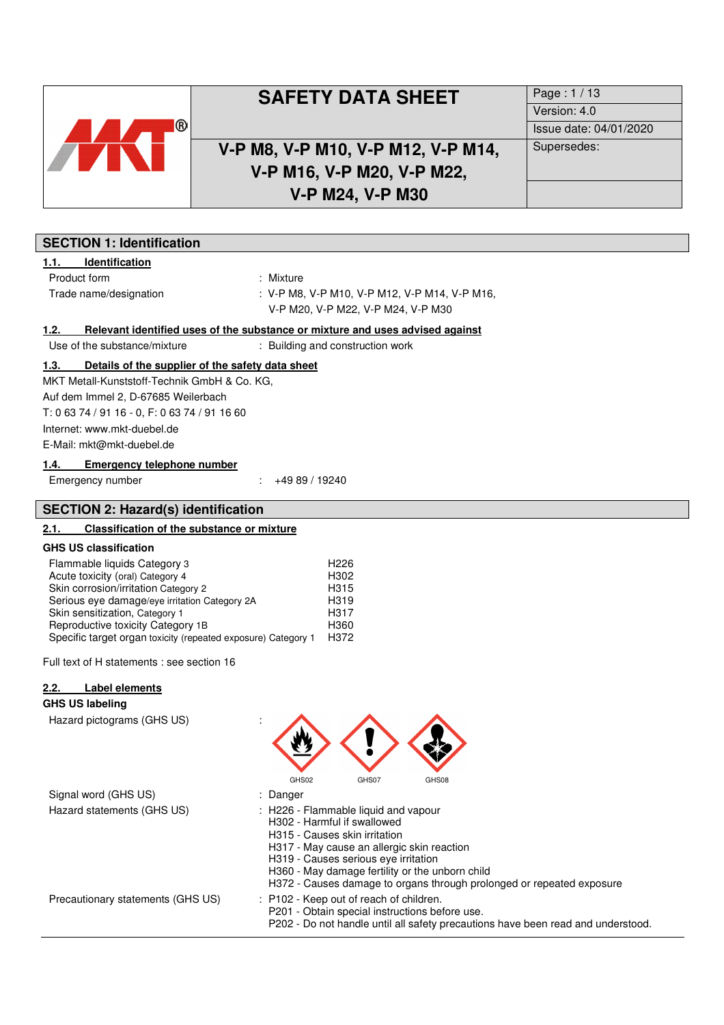

# **V-P M8, V-P M10, V-P M12, V-P M14, V-P M16, V-P M20, V-P M22, V-P M24, V-P M30**

| Page: 1/13             |
|------------------------|
| Version: 4.0           |
| Issue date: 04/01/2020 |
| Supersedes:            |
|                        |
|                        |

| <b>SECTION 1: Identification</b>                                                                                                                                                                                                                                                                                                  |                                                                                                                   |  |
|-----------------------------------------------------------------------------------------------------------------------------------------------------------------------------------------------------------------------------------------------------------------------------------------------------------------------------------|-------------------------------------------------------------------------------------------------------------------|--|
| <b>Identification</b><br>1.1.<br>Product form<br>Trade name/designation                                                                                                                                                                                                                                                           | : Mixture<br>: V-P M8, V-P M10, V-P M12, V-P M14, V-P M16,<br>V-P M20, V-P M22, V-P M24, V-P M30                  |  |
| 1.2.<br>Use of the substance/mixture                                                                                                                                                                                                                                                                                              | Relevant identified uses of the substance or mixture and uses advised against<br>: Building and construction work |  |
| 1.3.<br>Details of the supplier of the safety data sheet<br>MKT Metall-Kunststoff-Technik GmbH & Co. KG,<br>Auf dem Immel 2, D-67685 Weilerbach<br>T: 0 63 74 / 91 16 - 0, F: 0 63 74 / 91 16 60<br>Internet: www.mkt-duebel.de<br>E-Mail: mkt@mkt-duebel.de                                                                      |                                                                                                                   |  |
| 1.4.<br><b>Emergency telephone number</b><br>Emergency number                                                                                                                                                                                                                                                                     | +49 89 / 19240                                                                                                    |  |
| <b>SECTION 2: Hazard(s) identification</b>                                                                                                                                                                                                                                                                                        |                                                                                                                   |  |
| Classification of the substance or mixture<br>2.1.                                                                                                                                                                                                                                                                                |                                                                                                                   |  |
| <b>GHS US classification</b><br>Flammable liquids Category 3<br>Acute toxicity (oral) Category 4<br>Skin corrosion/irritation Category 2<br>Serious eye damage/eye irritation Category 2A<br>Skin sensitization, Category 1<br>Reproductive toxicity Category 1B<br>Specific target organ toxicity (repeated exposure) Category 1 | H <sub>226</sub><br>H302<br>H315<br>H319<br>H317<br>H360<br>H372                                                  |  |
| Full text of H statements : see section 16                                                                                                                                                                                                                                                                                        |                                                                                                                   |  |
| Label elements<br>2.2.<br><b>GHS US labeling</b><br>Hazard pictograms (GHS US)                                                                                                                                                                                                                                                    |                                                                                                                   |  |
| Signal word (GHS US)<br>Hazard statements (GHS US)                                                                                                                                                                                                                                                                                | GHS02<br>GHS07<br>GHS08<br>: Danger<br>: H226 - Flammable liquid and vapour                                       |  |

- H302 Harmful if swallowed
	- H315 Causes skin irritation
	- H317 May cause an allergic skin reaction
	- H319 Causes serious eye irritation
	- H360 May damage fertility or the unborn child
	- H372 Causes damage to organs through prolonged or repeated exposure
- Precautionary statements (GHS US) : P102 Keep out of reach of children.
	- P201 Obtain special instructions before use.
		- P202 Do not handle until all safety precautions have been read and understood.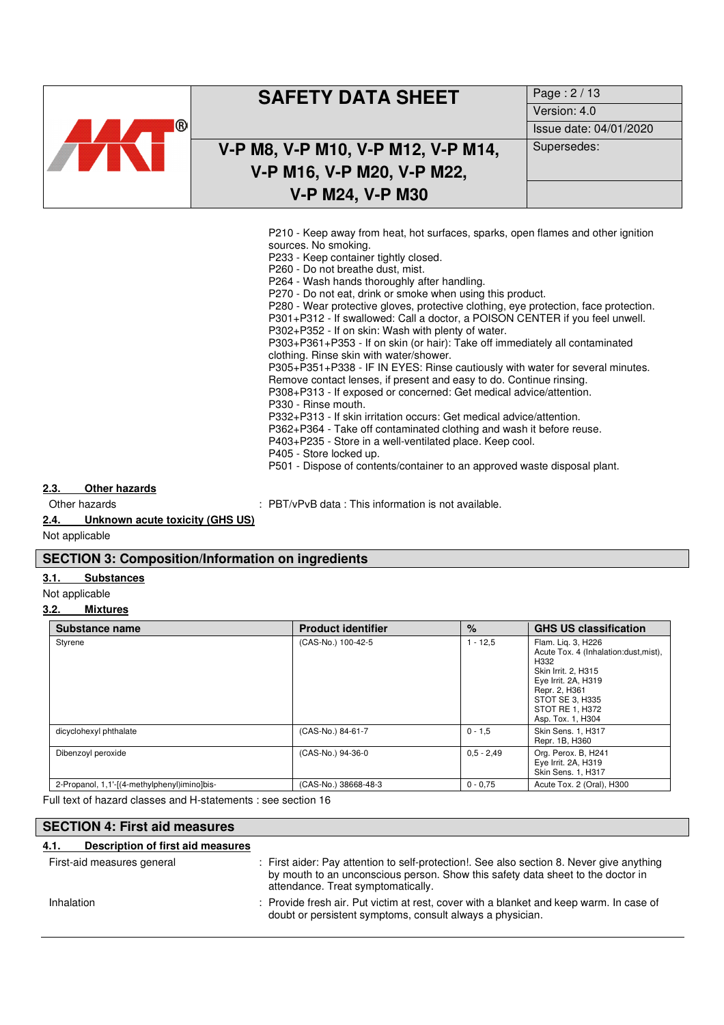|          | <b>SAFETY DATA SHEET</b>           | Page: 2/13             |
|----------|------------------------------------|------------------------|
|          |                                    | Version: 4.0           |
| $\omega$ |                                    | Issue date: 04/01/2020 |
|          | V-P M8, V-P M10, V-P M12, V-P M14, | Supersedes:            |
|          | V-P M16, V-P M20, V-P M22,         |                        |
|          | <b>V-P M24, V-P M30</b>            |                        |
|          |                                    |                        |

P210 - Keep away from heat, hot surfaces, sparks, open flames and other ignition sources. No smoking.

P233 - Keep container tightly closed.

P260 - Do not breathe dust, mist.

P264 - Wash hands thoroughly after handling.

P270 - Do not eat, drink or smoke when using this product.

P280 - Wear protective gloves, protective clothing, eye protection, face protection.

P301+P312 - If swallowed: Call a doctor, a POISON CENTER if you feel unwell.

P302+P352 - If on skin: Wash with plenty of water.

P303+P361+P353 - If on skin (or hair): Take off immediately all contaminated clothing. Rinse skin with water/shower.

P305+P351+P338 - IF IN EYES: Rinse cautiously with water for several minutes. Remove contact lenses, if present and easy to do. Continue rinsing.

P308+P313 - If exposed or concerned: Get medical advice/attention.

P330 - Rinse mouth.

P332+P313 - If skin irritation occurs: Get medical advice/attention.

P362+P364 - Take off contaminated clothing and wash it before reuse.

- P403+P235 Store in a well-ventilated place. Keep cool.
- P405 Store locked up.

P501 - Dispose of contents/container to an approved waste disposal plant.

# **2.3. Other hazards**

Other hazards **in the state of the state of the state of the state of the State is not available.** 

**2.4. Unknown acute toxicity (GHS US)** 

Not applicable

## **SECTION 3: Composition/Information on ingredients**

#### **3.1. Substances**

Not applicable

## **3.2. Mixtures**

| Substance name                               | <b>Product identifier</b> | $\%$         | <b>GHS US classification</b>                                                                                                                                                                 |
|----------------------------------------------|---------------------------|--------------|----------------------------------------------------------------------------------------------------------------------------------------------------------------------------------------------|
| Styrene                                      | (CAS-No.) 100-42-5        | $1 - 12.5$   | Flam. Lig. 3, H226<br>Acute Tox. 4 (Inhalation:dust.mist).<br>H332<br>Skin Irrit. 2, H315<br>Eye Irrit. 2A, H319<br>Repr. 2, H361<br>STOT SE 3, H335<br>STOT RE 1, H372<br>Asp. Tox. 1, H304 |
| dicyclohexyl phthalate                       | (CAS-No.) 84-61-7         | $0 - 1.5$    | Skin Sens. 1, H317<br>Repr. 1B, H360                                                                                                                                                         |
| Dibenzoyl peroxide                           | (CAS-No.) 94-36-0         | $0.5 - 2.49$ | Org. Perox. B, H241<br>Eye Irrit. 2A, H319<br>Skin Sens. 1, H317                                                                                                                             |
| 2-Propanol, 1,1'-[(4-methylphenyl)imino]bis- | (CAS-No.) 38668-48-3      | $0 - 0.75$   | Acute Tox. 2 (Oral), H300                                                                                                                                                                    |

Full text of hazard classes and H-statements : see section 16

## **SECTION 4: First aid measures**

## **4.1. Description of first aid measures**

| First-aid measures general | : First aider: Pay attention to self-protection!. See also section 8. Never give anything<br>by mouth to an unconscious person. Show this safety data sheet to the doctor in<br>attendance. Treat symptomatically. |
|----------------------------|--------------------------------------------------------------------------------------------------------------------------------------------------------------------------------------------------------------------|
| Inhalation                 | : Provide fresh air. Put victim at rest, cover with a blanket and keep warm. In case of<br>doubt or persistent symptoms, consult always a physician.                                                               |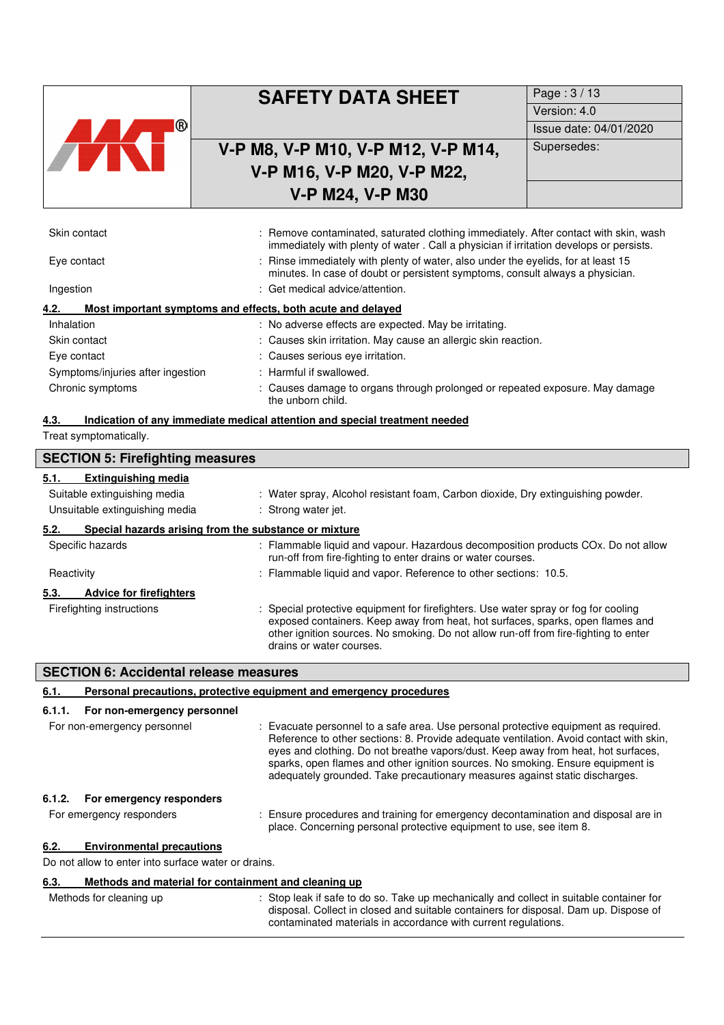|                                   | <b>SAFETY DATA SHEET</b>                                                                                                                                                       | Page: 3/13             |
|-----------------------------------|--------------------------------------------------------------------------------------------------------------------------------------------------------------------------------|------------------------|
|                                   |                                                                                                                                                                                | Version: 4.0           |
| (R)                               |                                                                                                                                                                                | Issue date: 04/01/2020 |
|                                   | V-P M8, V-P M10, V-P M12, V-P M14,                                                                                                                                             | Supersedes:            |
|                                   | V-P M16, V-P M20, V-P M22,                                                                                                                                                     |                        |
|                                   | <b>V-P M24, V-P M30</b>                                                                                                                                                        |                        |
|                                   |                                                                                                                                                                                |                        |
| Skin contact                      | : Remove contaminated, saturated clothing immediately. After contact with skin, wash<br>immediately with plenty of water. Call a physician if irritation develops or persists. |                        |
| Eye contact                       | : Rinse immediately with plenty of water, also under the eyelids, for at least 15<br>minutes. In case of doubt or persistent symptoms, consult always a physician.             |                        |
| Ingestion                         | : Get medical advice/attention.                                                                                                                                                |                        |
| 4.2.                              | Most important symptoms and effects, both acute and delayed                                                                                                                    |                        |
| Inhalation                        | : No adverse effects are expected. May be irritating.                                                                                                                          |                        |
| Skin contact                      | : Causes skin irritation. May cause an allergic skin reaction.                                                                                                                 |                        |
| Eye contact                       | : Causes serious eye irritation.                                                                                                                                               |                        |
| Symptoms/injuries after ingestion | : Harmful if swallowed.                                                                                                                                                        |                        |

Chronic symptoms : Causes damage to organs through prolonged or repeated exposure. May damage

the unborn child.

## **4.3. Indication of any immediate medical attention and special treatment needed**

Treat symptomatically.

| <b>SECTION 5: Firefighting measures</b>                                                              |                                                                                                                                                                                                                                                                                           |  |  |
|------------------------------------------------------------------------------------------------------|-------------------------------------------------------------------------------------------------------------------------------------------------------------------------------------------------------------------------------------------------------------------------------------------|--|--|
| <b>Extinguishing media</b><br>5.1.<br>Suitable extinguishing media<br>Unsuitable extinguishing media | : Water spray, Alcohol resistant foam, Carbon dioxide, Dry extinguishing powder.<br>: Strong water jet.                                                                                                                                                                                   |  |  |
| Special hazards arising from the substance or mixture<br>5.2.                                        |                                                                                                                                                                                                                                                                                           |  |  |
| Specific hazards                                                                                     | : Flammable liquid and vapour. Hazardous decomposition products COx. Do not allow<br>run-off from fire-fighting to enter drains or water courses.                                                                                                                                         |  |  |
| Reactivity                                                                                           | : Flammable liquid and vapor. Reference to other sections: 10.5.                                                                                                                                                                                                                          |  |  |
| <b>Advice for firefighters</b><br>5.3.                                                               |                                                                                                                                                                                                                                                                                           |  |  |
| Firefighting instructions                                                                            | : Special protective equipment for firefighters. Use water spray or fog for cooling<br>exposed containers. Keep away from heat, hot surfaces, sparks, open flames and<br>other ignition sources. No smoking. Do not allow run-off from fire-fighting to enter<br>drains or water courses. |  |  |

| <b>SECTION 6: Accidental release measures</b> |                                                                     |                                                                                                                                                                                                                                                                                                                                                                                                                                      |  |
|-----------------------------------------------|---------------------------------------------------------------------|--------------------------------------------------------------------------------------------------------------------------------------------------------------------------------------------------------------------------------------------------------------------------------------------------------------------------------------------------------------------------------------------------------------------------------------|--|
| 6.1.                                          | Personal precautions, protective equipment and emergency procedures |                                                                                                                                                                                                                                                                                                                                                                                                                                      |  |
| 6.1.1.                                        | For non-emergency personnel                                         |                                                                                                                                                                                                                                                                                                                                                                                                                                      |  |
| For non-emergency personnel                   |                                                                     | : Evacuate personnel to a safe area. Use personal protective equipment as required.<br>Reference to other sections: 8. Provide adequate ventilation. Avoid contact with skin,<br>eyes and clothing. Do not breathe vapors/dust. Keep away from heat, hot surfaces,<br>sparks, open flames and other ignition sources. No smoking. Ensure equipment is<br>adequately grounded. Take precautionary measures against static discharges. |  |
| 6.1.2.                                        | For emergency responders                                            |                                                                                                                                                                                                                                                                                                                                                                                                                                      |  |
|                                               | For emergency responders                                            | : Ensure procedures and training for emergency decontamination and disposal are in<br>place. Concerning personal protective equipment to use, see item 8.                                                                                                                                                                                                                                                                            |  |
| 6.2.                                          | <b>Environmental precautions</b>                                    |                                                                                                                                                                                                                                                                                                                                                                                                                                      |  |
|                                               | Do not allow to enter into surface water or drains.                 |                                                                                                                                                                                                                                                                                                                                                                                                                                      |  |
| 6.3.                                          | Methods and material for containment and cleaning up                |                                                                                                                                                                                                                                                                                                                                                                                                                                      |  |
|                                               | Methods for cleaning up                                             | : Stop leak if safe to do so. Take up mechanically and collect in suitable container for<br>disposal. Collect in closed and suitable containers for disposal. Dam up. Dispose of<br>contaminated materials in accordance with current regulations.                                                                                                                                                                                   |  |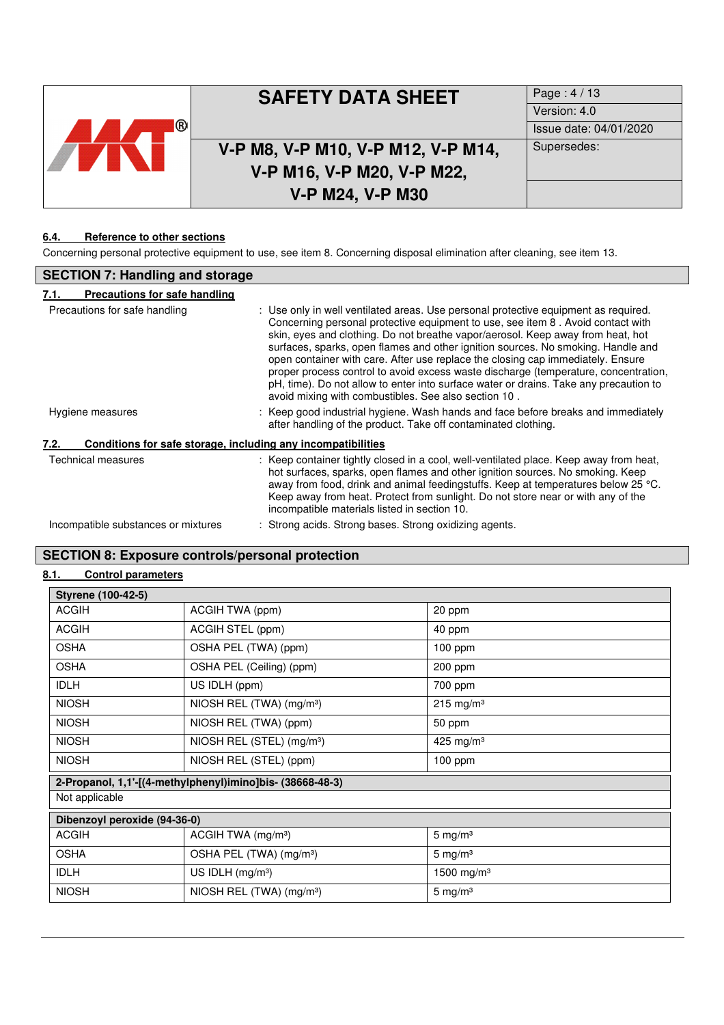|            | <b>SAFETY DATA SHEET</b>                                         | Page: $4/13$<br>Version: 4.0          |
|------------|------------------------------------------------------------------|---------------------------------------|
| $\bigcirc$ | V-P M8, V-P M10, V-P M12, V-P M14,<br>V-P M16, V-P M20, V-P M22, | Issue date: 04/01/2020<br>Supersedes: |
|            | <b>V-P M24, V-P M30</b>                                          |                                       |

# **6.4. Reference to other sections**

Concerning personal protective equipment to use, see item 8. Concerning disposal elimination after cleaning, see item 13.

| <b>SECTION 7: Handling and storage</b>                               |                                                                                                                                                                                                                                                                                                                                                                                                                                                                                                                                                                                                                                                                          |  |  |  |
|----------------------------------------------------------------------|--------------------------------------------------------------------------------------------------------------------------------------------------------------------------------------------------------------------------------------------------------------------------------------------------------------------------------------------------------------------------------------------------------------------------------------------------------------------------------------------------------------------------------------------------------------------------------------------------------------------------------------------------------------------------|--|--|--|
| Precautions for safe handling<br>7.1.                                |                                                                                                                                                                                                                                                                                                                                                                                                                                                                                                                                                                                                                                                                          |  |  |  |
| Precautions for safe handling                                        | : Use only in well ventilated areas. Use personal protective equipment as required.<br>Concerning personal protective equipment to use, see item 8. Avoid contact with<br>skin, eyes and clothing. Do not breathe vapor/aerosol. Keep away from heat, hot<br>surfaces, sparks, open flames and other ignition sources. No smoking. Handle and<br>open container with care. After use replace the closing cap immediately. Ensure<br>proper process control to avoid excess waste discharge (temperature, concentration,<br>pH, time). Do not allow to enter into surface water or drains. Take any precaution to<br>avoid mixing with combustibles. See also section 10. |  |  |  |
| Hygiene measures                                                     | : Keep good industrial hygiene. Wash hands and face before breaks and immediately<br>after handling of the product. Take off contaminated clothing.                                                                                                                                                                                                                                                                                                                                                                                                                                                                                                                      |  |  |  |
| 7.2.<br>Conditions for safe storage, including any incompatibilities |                                                                                                                                                                                                                                                                                                                                                                                                                                                                                                                                                                                                                                                                          |  |  |  |
| Technical measures                                                   | : Keep container tightly closed in a cool, well-ventilated place. Keep away from heat,<br>hot surfaces, sparks, open flames and other ignition sources. No smoking. Keep<br>away from food, drink and animal feedingstuffs. Keep at temperatures below 25 °C.<br>Keep away from heat. Protect from sunlight. Do not store near or with any of the<br>incompatible materials listed in section 10.                                                                                                                                                                                                                                                                        |  |  |  |

# **SECTION 8: Exposure controls/personal protection**

Incompatible substances or mixtures : Strong acids. Strong bases. Strong oxidizing agents.

## **8.1. Control parameters**

| <b>Styrene (100-42-5)</b>    |                                                           |                        |
|------------------------------|-----------------------------------------------------------|------------------------|
| <b>ACGIH</b>                 | ACGIH TWA (ppm)                                           | 20 ppm                 |
| <b>ACGIH</b>                 | ACGIH STEL (ppm)                                          | 40 ppm                 |
| <b>OSHA</b>                  | OSHA PEL (TWA) (ppm)                                      | 100 ppm                |
| <b>OSHA</b>                  | OSHA PEL (Ceiling) (ppm)                                  | 200 ppm                |
| <b>IDLH</b>                  | US IDLH (ppm)                                             | 700 ppm                |
| <b>NIOSH</b>                 | NIOSH REL (TWA) (mg/m <sup>3</sup> )                      | $215 \text{ mg/m}^3$   |
| <b>NIOSH</b>                 | NIOSH REL (TWA) (ppm)                                     | 50 ppm                 |
| <b>NIOSH</b>                 | NIOSH REL (STEL) (mg/m <sup>3</sup> )                     | 425 mg/m <sup>3</sup>  |
| <b>NIOSH</b>                 | NIOSH REL (STEL) (ppm)                                    | 100 ppm                |
|                              | 2-Propanol, 1,1'-[(4-methylphenyl)imino]bis- (38668-48-3) |                        |
| Not applicable               |                                                           |                        |
| Dibenzoyl peroxide (94-36-0) |                                                           |                        |
| <b>ACGIH</b>                 | ACGIH TWA (mg/m <sup>3</sup> )                            | $5 \text{ mg/m}^3$     |
| <b>OSHA</b>                  | OSHA PEL (TWA) (mg/m <sup>3</sup> )                       | 5 mg/m $3$             |
| <b>IDLH</b>                  | US IDLH $(mg/m3)$                                         | 1500 mg/m <sup>3</sup> |
| <b>NIOSH</b>                 | NIOSH REL (TWA) (mg/m <sup>3</sup> )                      | 5 mg/m $3$             |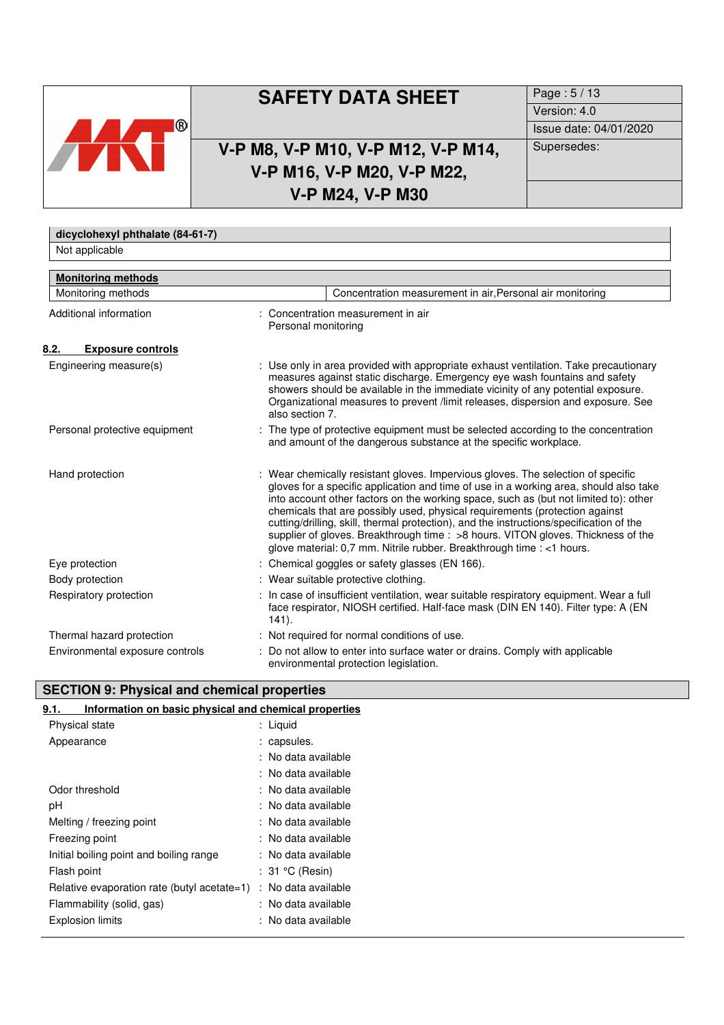

# **SAFETY DATA SHEET** Page : 5/13

# **V-P M8, V-P M10, V-P M12, V-P M14, V-P M16, V-P M20, V-P M22, V-P M24, V-P M30**

Version: 4.0 Issue date: 04/01/2020 Supersedes:

| dicyclohexyl phthalate (84-61-7) |                                                                                                                                                                                                                                                                                                                                                                                                                                                                                                                                                                                                         |
|----------------------------------|---------------------------------------------------------------------------------------------------------------------------------------------------------------------------------------------------------------------------------------------------------------------------------------------------------------------------------------------------------------------------------------------------------------------------------------------------------------------------------------------------------------------------------------------------------------------------------------------------------|
| Not applicable                   |                                                                                                                                                                                                                                                                                                                                                                                                                                                                                                                                                                                                         |
| <b>Monitoring methods</b>        |                                                                                                                                                                                                                                                                                                                                                                                                                                                                                                                                                                                                         |
| Monitoring methods               | Concentration measurement in air, Personal air monitoring                                                                                                                                                                                                                                                                                                                                                                                                                                                                                                                                               |
| Additional information           | : Concentration measurement in air<br>Personal monitoring                                                                                                                                                                                                                                                                                                                                                                                                                                                                                                                                               |
| 8.2.<br><b>Exposure controls</b> |                                                                                                                                                                                                                                                                                                                                                                                                                                                                                                                                                                                                         |
| Engineering measure(s)           | : Use only in area provided with appropriate exhaust ventilation. Take precautionary<br>measures against static discharge. Emergency eye wash fountains and safety<br>showers should be available in the immediate vicinity of any potential exposure.<br>Organizational measures to prevent /limit releases, dispersion and exposure. See<br>also section 7.                                                                                                                                                                                                                                           |
| Personal protective equipment    | : The type of protective equipment must be selected according to the concentration<br>and amount of the dangerous substance at the specific workplace.                                                                                                                                                                                                                                                                                                                                                                                                                                                  |
| Hand protection                  | : Wear chemically resistant gloves. Impervious gloves. The selection of specific<br>gloves for a specific application and time of use in a working area, should also take<br>into account other factors on the working space, such as (but not limited to): other<br>chemicals that are possibly used, physical requirements (protection against<br>cutting/drilling, skill, thermal protection), and the instructions/specification of the<br>supplier of gloves. Breakthrough time: >8 hours. VITON gloves. Thickness of the<br>glove material: 0,7 mm. Nitrile rubber. Breakthrough time : <1 hours. |
| Eye protection                   | : Chemical goggles or safety glasses (EN 166).                                                                                                                                                                                                                                                                                                                                                                                                                                                                                                                                                          |
| Body protection                  | : Wear suitable protective clothing.                                                                                                                                                                                                                                                                                                                                                                                                                                                                                                                                                                    |
| Respiratory protection           | In case of insufficient ventilation, wear suitable respiratory equipment. Wear a full<br>face respirator, NIOSH certified. Half-face mask (DIN EN 140). Filter type: A (EN<br>$141$ ).                                                                                                                                                                                                                                                                                                                                                                                                                  |
| Thermal hazard protection        | : Not required for normal conditions of use.                                                                                                                                                                                                                                                                                                                                                                                                                                                                                                                                                            |
| Environmental exposure controls  | Do not allow to enter into surface water or drains. Comply with applicable<br>environmental protection legislation.                                                                                                                                                                                                                                                                                                                                                                                                                                                                                     |

# **SECTION 9: Physical and chemical properties**

| Information on basic physical and chemical properties<br>9.1. |                       |  |
|---------------------------------------------------------------|-----------------------|--|
| Physical state                                                | : Liguid              |  |
| Appearance                                                    | : capsules.           |  |
|                                                               | : No data available   |  |
|                                                               | $:$ No data available |  |
| Odor threshold                                                | : No data available   |  |
| рH                                                            | : No data available   |  |
| Melting / freezing point                                      | : No data available   |  |
| Freezing point                                                | : No data available   |  |
| Initial boiling point and boiling range                       | : No data available   |  |
| Flash point                                                   | $: 31 °C$ (Resin)     |  |
| Relative evaporation rate (butyl acetate=1)                   | : No data available   |  |
| Flammability (solid, gas)                                     | : No data available   |  |
| Explosion limits                                              | : No data available   |  |
|                                                               |                       |  |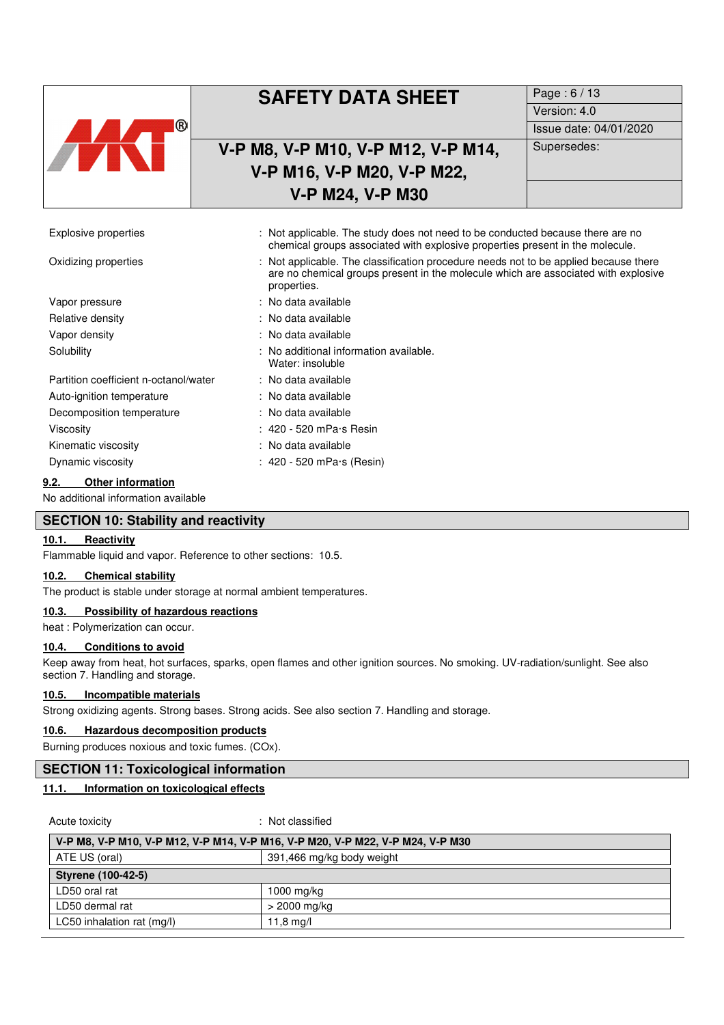|                                       | <b>SAFETY DATA SHEET</b>                                                                                                                                                                  | Page: 6 / 13           |
|---------------------------------------|-------------------------------------------------------------------------------------------------------------------------------------------------------------------------------------------|------------------------|
|                                       |                                                                                                                                                                                           | Version: 4.0           |
| ®                                     |                                                                                                                                                                                           | Issue date: 04/01/2020 |
|                                       | V-P M8, V-P M10, V-P M12, V-P M14,                                                                                                                                                        | Supersedes:            |
|                                       | V-P M16, V-P M20, V-P M22,                                                                                                                                                                |                        |
|                                       | <b>V-P M24, V-P M30</b>                                                                                                                                                                   |                        |
|                                       |                                                                                                                                                                                           |                        |
| <b>Explosive properties</b>           | : Not applicable. The study does not need to be conducted because there are no<br>chemical groups associated with explosive properties present in the molecule.                           |                        |
| Oxidizing properties                  | : Not applicable. The classification procedure needs not to be applied because there<br>are no chemical groups present in the molecule which are associated with explosive<br>properties. |                        |
| Vapor pressure                        | : No data available                                                                                                                                                                       |                        |
| Relative density                      | : No data available                                                                                                                                                                       |                        |
| Vapor density                         | : No data available                                                                                                                                                                       |                        |
| Solubility                            | : No additional information available.<br>Water: insoluble                                                                                                                                |                        |
| Partition coefficient n-octanol/water | : No data available                                                                                                                                                                       |                        |
| Auto-ignition temperature             | : No data available                                                                                                                                                                       |                        |
| Decomposition temperature             | : No data available                                                                                                                                                                       |                        |
| Viscosity                             | $: 420 - 520$ mPa $\cdot$ s Resin                                                                                                                                                         |                        |
| Kinematic viscosity                   | : No data available                                                                                                                                                                       |                        |
| Dynamic viscosity                     | : 420 - 520 mPa·s (Resin)                                                                                                                                                                 |                        |

#### **9.2. Other information**

No additional information available

## **SECTION 10: Stability and reactivity**

## **10.1. Reactivity**

Flammable liquid and vapor. Reference to other sections: 10.5.

#### **10.2. Chemical stability**

The product is stable under storage at normal ambient temperatures.

#### **10.3. Possibility of hazardous reactions**

heat : Polymerization can occur.

#### **10.4. Conditions to avoid**

Keep away from heat, hot surfaces, sparks, open flames and other ignition sources. No smoking. UV-radiation/sunlight. See also section 7. Handling and storage.

## **10.5. Incompatible materials**

Strong oxidizing agents. Strong bases. Strong acids. See also section 7. Handling and storage.

## **10.6. Hazardous decomposition products**

Burning produces noxious and toxic fumes. (COx).

## **SECTION 11: Toxicological information**

## **11.1. Information on toxicological effects**

Acute toxicity **in the case of the Case of the Case of the Case of the Case of the Case of the Case of the Case of the Case of the Case of the Case of the Case of the Case of the Case of the Case of the Case of the Case of** 

| V-P M8, V-P M10, V-P M12, V-P M14, V-P M16, V-P M20, V-P M22, V-P M24, V-P M30 |                           |
|--------------------------------------------------------------------------------|---------------------------|
| ATE US (oral)                                                                  | 391,466 mg/kg body weight |
| Styrene (100-42-5)                                                             |                           |
| LD50 oral rat                                                                  | 1000 mg/kg                |
| LD50 dermal rat                                                                | > 2000 mg/kg              |
| LC50 inhalation rat (mg/l)                                                     | 11,8 mg/l                 |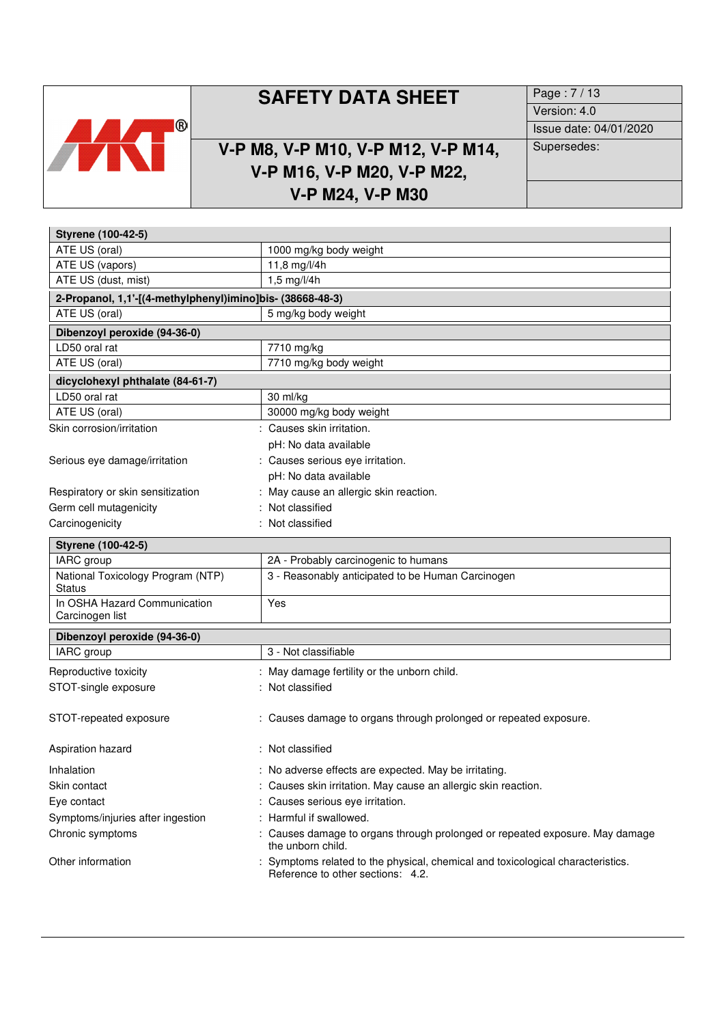

# **SAFETY DATA SHEET** Page : 7/13

# **V-P M8, V-P M10, V-P M12, V-P M14, V-P M16, V-P M20, V-P M22, V-P M24, V-P M30**

Version: 4.0 Issue date: 04/01/2020 Supersedes:

| Styrene (100-42-5)                                        |                                                                                                                      |
|-----------------------------------------------------------|----------------------------------------------------------------------------------------------------------------------|
| ATE US (oral)                                             | 1000 mg/kg body weight                                                                                               |
| ATE US (vapors)                                           | 11,8 mg/l/4h                                                                                                         |
| ATE US (dust, mist)                                       | 1,5 mg/l/4h                                                                                                          |
| 2-Propanol, 1,1'-[(4-methylphenyl)imino]bis- (38668-48-3) |                                                                                                                      |
| ATE US (oral)                                             | 5 mg/kg body weight                                                                                                  |
| Dibenzoyl peroxide (94-36-0)                              |                                                                                                                      |
| LD50 oral rat                                             | 7710 mg/kg                                                                                                           |
| ATE US (oral)                                             | 7710 mg/kg body weight                                                                                               |
| dicyclohexyl phthalate (84-61-7)                          |                                                                                                                      |
| LD50 oral rat                                             | 30 ml/kg                                                                                                             |
| ATE US (oral)                                             | 30000 mg/kg body weight                                                                                              |
| Skin corrosion/irritation                                 | : Causes skin irritation.                                                                                            |
|                                                           | pH: No data available                                                                                                |
| Serious eye damage/irritation                             | : Causes serious eye irritation.                                                                                     |
|                                                           | pH: No data available                                                                                                |
| Respiratory or skin sensitization                         | : May cause an allergic skin reaction.                                                                               |
| Germ cell mutagenicity                                    | : Not classified                                                                                                     |
| Carcinogenicity                                           | : Not classified                                                                                                     |
| Styrene (100-42-5)                                        |                                                                                                                      |
| IARC group                                                | 2A - Probably carcinogenic to humans                                                                                 |
| National Toxicology Program (NTP)<br><b>Status</b>        | 3 - Reasonably anticipated to be Human Carcinogen                                                                    |
| In OSHA Hazard Communication<br>Carcinogen list           | Yes                                                                                                                  |
| Dibenzoyl peroxide (94-36-0)                              |                                                                                                                      |
| IARC group                                                | 3 - Not classifiable                                                                                                 |
| Reproductive toxicity                                     | : May damage fertility or the unborn child.                                                                          |
| STOT-single exposure                                      | : Not classified                                                                                                     |
|                                                           |                                                                                                                      |
| STOT-repeated exposure                                    | : Causes damage to organs through prolonged or repeated exposure.                                                    |
| Aspiration hazard                                         | : Not classified                                                                                                     |
| Inhalation                                                | : No adverse effects are expected. May be irritating.                                                                |
| Skin contact                                              | : Causes skin irritation. May cause an allergic skin reaction.                                                       |
| Eye contact                                               | : Causes serious eye irritation.                                                                                     |
| Symptoms/injuries after ingestion                         | : Harmful if swallowed.                                                                                              |
| Chronic symptoms                                          | : Causes damage to organs through prolonged or repeated exposure. May damage<br>the unborn child.                    |
| Other information                                         | : Symptoms related to the physical, chemical and toxicological characteristics.<br>Reference to other sections: 4.2. |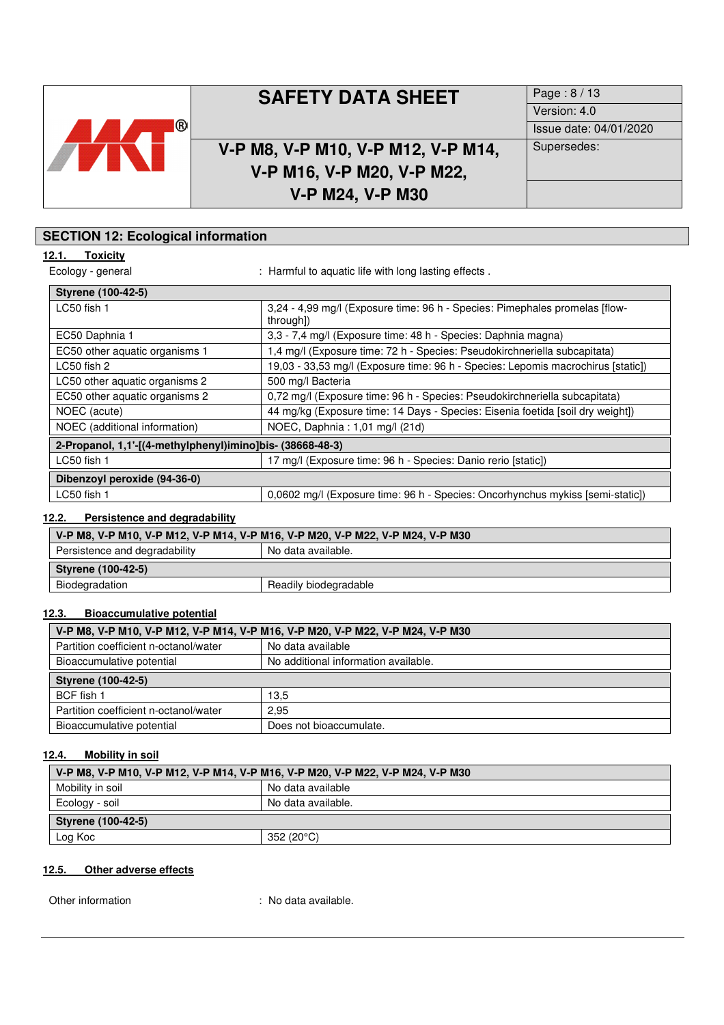

# **SAFETY DATA SHEET** | Page : 8 / 13

# **V-P M8, V-P M10, V-P M12, V-P M14, V-P M16, V-P M20, V-P M22, V-P M24, V-P M30**

Version: 4.0 Issue date: 04/01/2020 Supersedes:

# **SECTION 12: Ecological information**

**12.1. Toxicity** 

Ecology - general : Harmful to aquatic life with long lasting effects .

| <b>Styrene (100-42-5)</b>                                 |                                                                                          |  |
|-----------------------------------------------------------|------------------------------------------------------------------------------------------|--|
| LC50 fish 1                                               | 3,24 - 4,99 mg/l (Exposure time: 96 h - Species: Pimephales promelas [flow-<br>through]) |  |
| EC50 Daphnia 1                                            | 3,3 - 7,4 mg/l (Exposure time: 48 h - Species: Daphnia magna)                            |  |
| EC50 other aquatic organisms 1                            | 1,4 mg/l (Exposure time: 72 h - Species: Pseudokirchneriella subcapitata)                |  |
| LC50 fish 2                                               | 19,03 - 33,53 mg/l (Exposure time: 96 h - Species: Lepomis macrochirus [static])         |  |
| LC50 other aquatic organisms 2                            | 500 mg/l Bacteria                                                                        |  |
| EC50 other aquatic organisms 2                            | 0,72 mg/l (Exposure time: 96 h - Species: Pseudokirchneriella subcapitata)               |  |
| NOEC (acute)                                              | 44 mg/kg (Exposure time: 14 Days - Species: Eisenia foetida [soil dry weight])           |  |
| NOEC (additional information)                             | NOEC, Daphnia: 1,01 mg/l (21d)                                                           |  |
| 2-Propanol, 1,1'-[(4-methylphenyl)iminolbis- (38668-48-3) |                                                                                          |  |
| LC50 fish 1                                               | 17 mg/l (Exposure time: 96 h - Species: Danio rerio [static])                            |  |
| Dibenzoyl peroxide (94-36-0)                              |                                                                                          |  |
| LC50 fish 1                                               | 0,0602 mg/l (Exposure time: 96 h - Species: Oncorhynchus mykiss [semi-static])           |  |

## **12.2. Persistence and degradability**

| V-P M8, V-P M10, V-P M12, V-P M14, V-P M16, V-P M20, V-P M22, V-P M24, V-P M30 |                       |  |
|--------------------------------------------------------------------------------|-----------------------|--|
| Persistence and degradability<br>No data available.                            |                       |  |
| <b>Styrene (100-42-5)</b>                                                      |                       |  |
| Biodegradation                                                                 | Readily biodegradable |  |

## **12.3. Bioaccumulative potential**

| V-P M8, V-P M10, V-P M12, V-P M14, V-P M16, V-P M20, V-P M22, V-P M24, V-P M30 |                                      |
|--------------------------------------------------------------------------------|--------------------------------------|
| Partition coefficient n-octanol/water                                          | No data available                    |
| Bioaccumulative potential                                                      | No additional information available. |
| Styrene (100-42-5)                                                             |                                      |
| BCF fish 1                                                                     | 13.5                                 |
| Partition coefficient n-octanol/water                                          | 2.95                                 |
| Bioaccumulative potential                                                      | Does not bioaccumulate.              |

#### **12.4. Mobility in soil**

| V-P M8, V-P M10, V-P M12, V-P M14, V-P M16, V-P M20, V-P M22, V-P M24, V-P M30 |                    |
|--------------------------------------------------------------------------------|--------------------|
| Mobility in soil                                                               | No data available  |
| Ecology - soil                                                                 | No data available. |
| <b>Styrene (100-42-5)</b>                                                      |                    |
| Log Koc                                                                        | 352 (20°C)         |

## **12.5. Other adverse effects**

Other information **in the contract of the contract of the Contract of Contract Contract of Contract Contract Contract Contract Contract Contract Contract Contract Contract Contract Contract Contract Contract Contract Contr**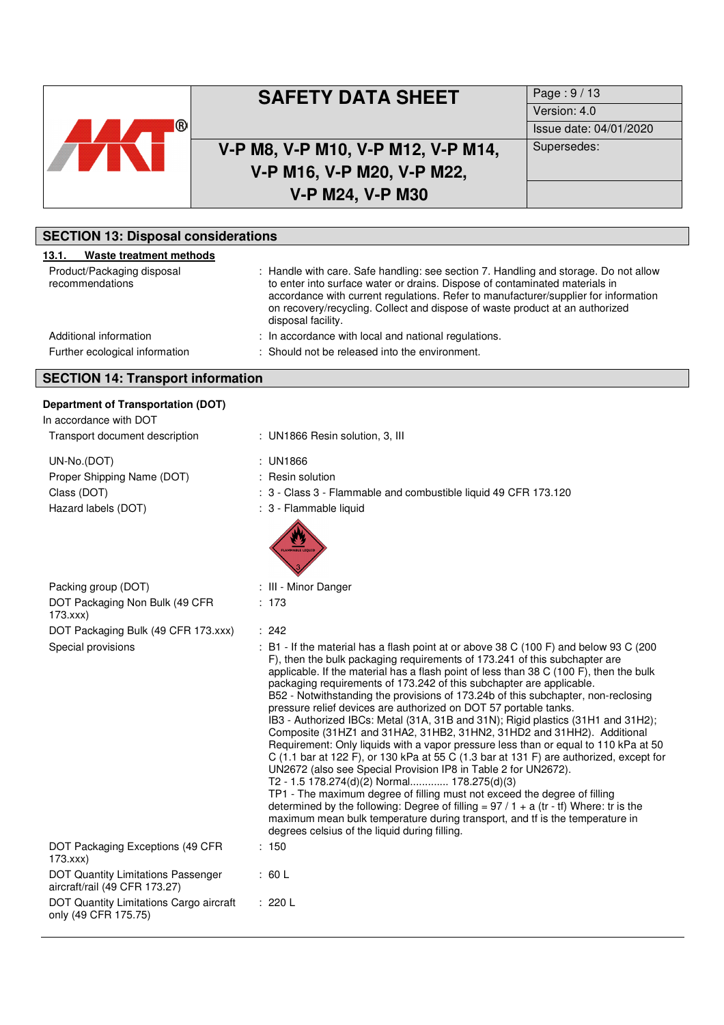

# **V-P M8, V-P M10, V-P M12, V-P M14, V-P M16, V-P M20, V-P M22, V-P M24, V-P M30**

#### **SECTION 13: Disposal considerations 13.1. Waste treatment methods**  Product/Packaging disposal recommendations : Handle with care. Safe handling: see section 7. Handling and storage. Do not allow to enter into surface water or drains. Dispose of contaminated materials in accordance with current regulations. Refer to manufacturer/supplier for information on recovery/recycling. Collect and dispose of waste product at an authorized disposal facility. Additional information : In accordance with local and national regulations. Further ecological information : Should not be released into the environment.

# **SECTION 14: Transport information**

# **Department of Transportation (DOT)**

| In accordance with DOT                                                     |                                                                                                                                                                                                                                                                                                                                                                                                                                                                                                                                                                                                                                                                                                                                                                                                                                                                                                                                                                                                                                                                                                                                                                                                                                                                        |
|----------------------------------------------------------------------------|------------------------------------------------------------------------------------------------------------------------------------------------------------------------------------------------------------------------------------------------------------------------------------------------------------------------------------------------------------------------------------------------------------------------------------------------------------------------------------------------------------------------------------------------------------------------------------------------------------------------------------------------------------------------------------------------------------------------------------------------------------------------------------------------------------------------------------------------------------------------------------------------------------------------------------------------------------------------------------------------------------------------------------------------------------------------------------------------------------------------------------------------------------------------------------------------------------------------------------------------------------------------|
| Transport document description                                             | : UN1866 Resin solution, 3, III                                                                                                                                                                                                                                                                                                                                                                                                                                                                                                                                                                                                                                                                                                                                                                                                                                                                                                                                                                                                                                                                                                                                                                                                                                        |
| UN-No.(DOT)                                                                | : UN1866                                                                                                                                                                                                                                                                                                                                                                                                                                                                                                                                                                                                                                                                                                                                                                                                                                                                                                                                                                                                                                                                                                                                                                                                                                                               |
| Proper Shipping Name (DOT)                                                 | : Resin solution                                                                                                                                                                                                                                                                                                                                                                                                                                                                                                                                                                                                                                                                                                                                                                                                                                                                                                                                                                                                                                                                                                                                                                                                                                                       |
| Class (DOT)                                                                | : 3 - Class 3 - Flammable and combustible liquid 49 CFR 173.120                                                                                                                                                                                                                                                                                                                                                                                                                                                                                                                                                                                                                                                                                                                                                                                                                                                                                                                                                                                                                                                                                                                                                                                                        |
| Hazard labels (DOT)                                                        | : 3 - Flammable liquid<br><b>IMMABLE LIQU</b>                                                                                                                                                                                                                                                                                                                                                                                                                                                                                                                                                                                                                                                                                                                                                                                                                                                                                                                                                                                                                                                                                                                                                                                                                          |
| Packing group (DOT)                                                        | : III - Minor Danger                                                                                                                                                                                                                                                                                                                                                                                                                                                                                                                                                                                                                                                                                                                                                                                                                                                                                                                                                                                                                                                                                                                                                                                                                                                   |
| DOT Packaging Non Bulk (49 CFR<br>173.xxx                                  | : 173                                                                                                                                                                                                                                                                                                                                                                                                                                                                                                                                                                                                                                                                                                                                                                                                                                                                                                                                                                                                                                                                                                                                                                                                                                                                  |
| DOT Packaging Bulk (49 CFR 173.xxx)                                        | : 242                                                                                                                                                                                                                                                                                                                                                                                                                                                                                                                                                                                                                                                                                                                                                                                                                                                                                                                                                                                                                                                                                                                                                                                                                                                                  |
| Special provisions                                                         | : B1 - If the material has a flash point at or above 38 C (100 F) and below 93 C (200<br>F), then the bulk packaging requirements of 173.241 of this subchapter are<br>applicable. If the material has a flash point of less than 38 C (100 F), then the bulk<br>packaging requirements of 173.242 of this subchapter are applicable.<br>B52 - Notwithstanding the provisions of 173.24b of this subchapter, non-reclosing<br>pressure relief devices are authorized on DOT 57 portable tanks.<br>IB3 - Authorized IBCs: Metal (31A, 31B and 31N); Rigid plastics (31H1 and 31H2);<br>Composite (31HZ1 and 31HA2, 31HB2, 31HN2, 31HD2 and 31HH2). Additional<br>Requirement: Only liquids with a vapor pressure less than or equal to 110 kPa at 50<br>C (1.1 bar at 122 F), or 130 kPa at 55 C (1.3 bar at 131 F) are authorized, except for<br>UN2672 (also see Special Provision IP8 in Table 2 for UN2672).<br>T2 - 1.5 178.274(d)(2) Normal 178.275(d)(3)<br>TP1 - The maximum degree of filling must not exceed the degree of filling<br>determined by the following: Degree of filling = $97/1 + a$ (tr - tf) Where: tr is the<br>maximum mean bulk temperature during transport, and tf is the temperature in<br>degrees celsius of the liquid during filling. |
| DOT Packaging Exceptions (49 CFR<br>173.xxx                                | : 150                                                                                                                                                                                                                                                                                                                                                                                                                                                                                                                                                                                                                                                                                                                                                                                                                                                                                                                                                                                                                                                                                                                                                                                                                                                                  |
| <b>DOT Quantity Limitations Passenger</b><br>aircraft/rail (49 CFR 173.27) | : 60 L                                                                                                                                                                                                                                                                                                                                                                                                                                                                                                                                                                                                                                                                                                                                                                                                                                                                                                                                                                                                                                                                                                                                                                                                                                                                 |
| DOT Quantity Limitations Cargo aircraft<br>only (49 CFR 175.75)            | : 220 L                                                                                                                                                                                                                                                                                                                                                                                                                                                                                                                                                                                                                                                                                                                                                                                                                                                                                                                                                                                                                                                                                                                                                                                                                                                                |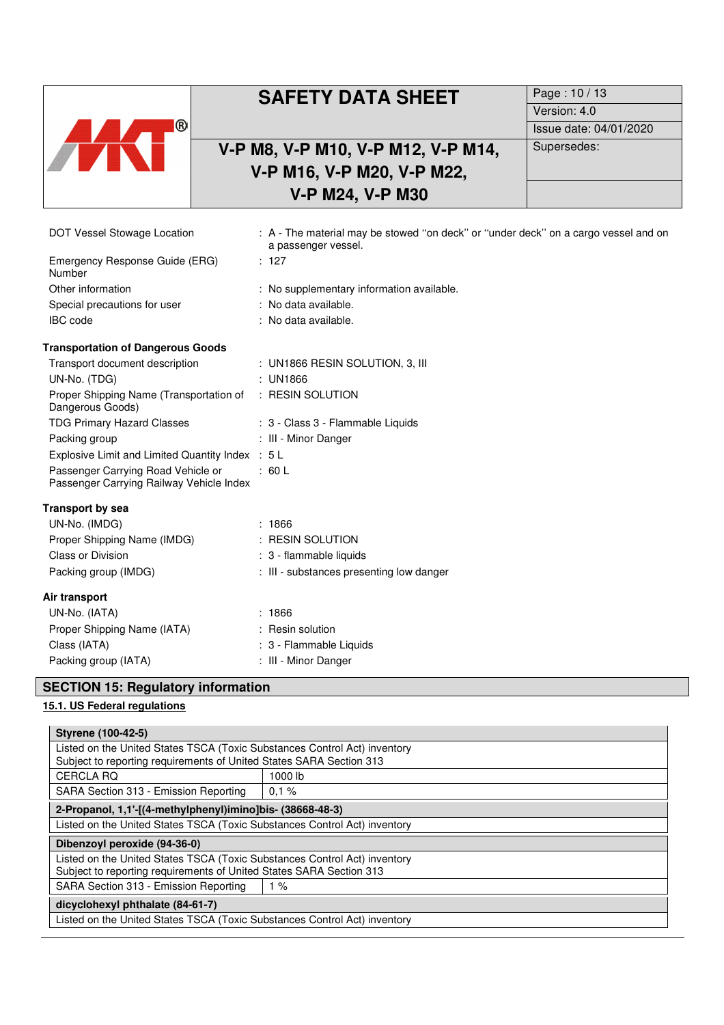| $\overline{\circ}$ |
|--------------------|
|                    |
|                    |

# **V-P M8, V-P M10, V-P M12, V-P M14, V-P M16, V-P M20, V-P M22, V-P M24, V-P M30**

| Page: 10 / 13          |
|------------------------|
| Version: 4.0           |
| Issue date: 04/01/2020 |
| Supersedes:            |
|                        |
|                        |

| DOT Vessel Stowage Location                                                    | : A - The material may be stowed "on deck" or "under deck" on a cargo vessel and on<br>a passenger vessel. |
|--------------------------------------------------------------------------------|------------------------------------------------------------------------------------------------------------|
| Emergency Response Guide (ERG)<br>Number                                       | : 127                                                                                                      |
| Other information                                                              | : No supplementary information available.                                                                  |
| Special precautions for user                                                   | : No data available.                                                                                       |
| <b>IBC</b> code                                                                | : No data available.                                                                                       |
| <b>Transportation of Dangerous Goods</b>                                       |                                                                                                            |
| Transport document description                                                 | $:$ UN1866 RESIN SOLUTION, 3, III                                                                          |
| UN-No. (TDG)                                                                   | : UN1866                                                                                                   |
| Proper Shipping Name (Transportation of : RESIN SOLUTION<br>Dangerous Goods)   |                                                                                                            |
| <b>TDG Primary Hazard Classes</b>                                              | : 3 - Class 3 - Flammable Liquids                                                                          |
| Packing group                                                                  | : III - Minor Danger                                                                                       |
| Explosive Limit and Limited Quantity Index : 5 L                               |                                                                                                            |
| Passenger Carrying Road Vehicle or<br>Passenger Carrying Railway Vehicle Index | $\div$ 60 L                                                                                                |
| <b>Transport by sea</b>                                                        |                                                                                                            |
| UN-No. (IMDG)                                                                  | : 1866                                                                                                     |
| Proper Shipping Name (IMDG)                                                    | : RESIN SOLUTION                                                                                           |
| <b>Class or Division</b>                                                       | : 3 - flammable liquids                                                                                    |
| Packing group (IMDG)                                                           | : III - substances presenting low danger                                                                   |
| Air transport                                                                  |                                                                                                            |
| UN-No. (IATA)                                                                  | : 1866                                                                                                     |
| Proper Shipping Name (IATA)                                                    | : Resin solution                                                                                           |
| Class (IATA)                                                                   | : 3 - Flammable Liquids                                                                                    |
| Packing group (IATA)                                                           | : III - Minor Danger                                                                                       |
| <b>SECTION 15: Regulatory information</b>                                      |                                                                                                            |

# **15.1. US Federal regulations**

| Styrene (100-42-5)                                                        |           |  |
|---------------------------------------------------------------------------|-----------|--|
| Listed on the United States TSCA (Toxic Substances Control Act) inventory |           |  |
| Subject to reporting requirements of United States SARA Section 313       |           |  |
| <b>CERCLA RQ</b>                                                          | $1000$ lb |  |
| SARA Section 313 - Emission Reporting                                     | 0.1%      |  |
| 2-Propanol, 1,1'-[(4-methylphenyl)imino]bis- (38668-48-3)                 |           |  |
| Listed on the United States TSCA (Toxic Substances Control Act) inventory |           |  |
| Dibenzoyl peroxide (94-36-0)                                              |           |  |
| Listed on the United States TSCA (Toxic Substances Control Act) inventory |           |  |
| Subject to reporting requirements of United States SARA Section 313       |           |  |
| SARA Section 313 - Emission Reporting<br>1%                               |           |  |
| dicyclohexyl phthalate (84-61-7)                                          |           |  |
| Listed on the United States TSCA (Toxic Substances Control Act) inventory |           |  |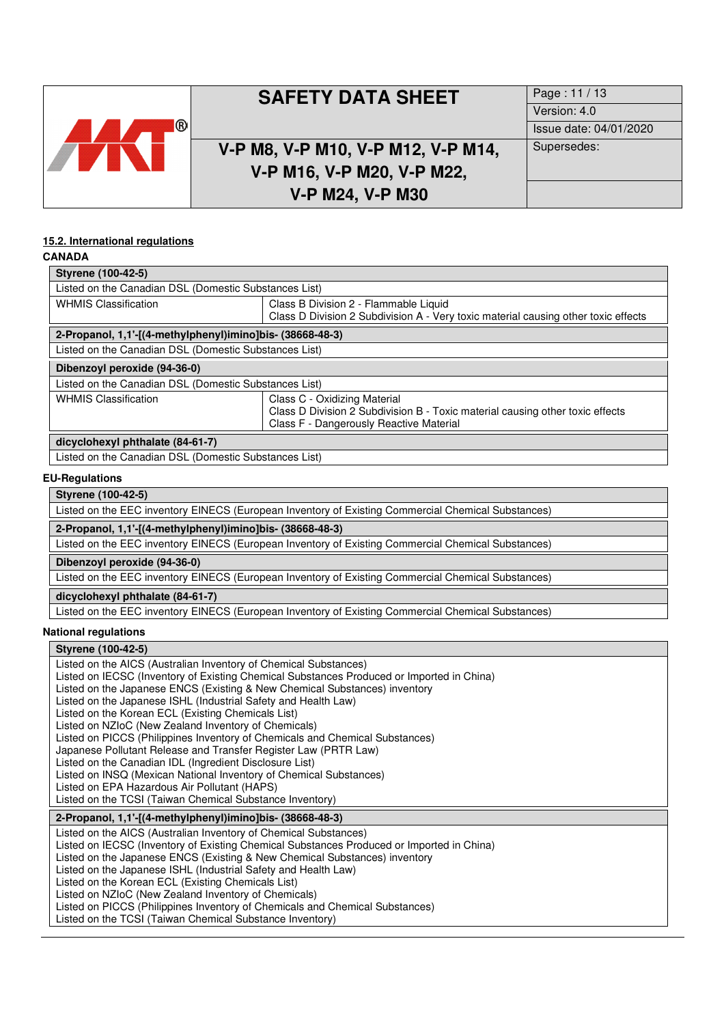

# **V-P M8, V-P M10, V-P M12, V-P M14, V-P M16, V-P M20, V-P M22, V-P M24, V-P M30**

| Page: 11 / 13          |
|------------------------|
| Version: 4.0           |
| Issue date: 04/01/2020 |
| Supersedes:            |
|                        |
|                        |

## **15.2. International regulations**

| CANADA |  |  |
|--------|--|--|
|        |  |  |

| <b>Styrene (100-42-5)</b>                                 |                                                                                                                                                          |  |  |
|-----------------------------------------------------------|----------------------------------------------------------------------------------------------------------------------------------------------------------|--|--|
| Listed on the Canadian DSL (Domestic Substances List)     |                                                                                                                                                          |  |  |
| <b>WHMIS Classification</b>                               | Class B Division 2 - Flammable Liquid<br>Class D Division 2 Subdivision A - Very toxic material causing other toxic effects                              |  |  |
| 2-Propanol, 1.1'-[(4-methylphenyl)iminolbis- (38668-48-3) |                                                                                                                                                          |  |  |
| Listed on the Canadian DSL (Domestic Substances List)     |                                                                                                                                                          |  |  |
| Dibenzoyl peroxide (94-36-0)                              |                                                                                                                                                          |  |  |
| Listed on the Canadian DSL (Domestic Substances List)     |                                                                                                                                                          |  |  |
| <b>WHMIS Classification</b>                               | Class C - Oxidizing Material<br>Class D Division 2 Subdivision B - Toxic material causing other toxic effects<br>Class F - Dangerously Reactive Material |  |  |
| dicyclohexyl phthalate (84-61-7)                          |                                                                                                                                                          |  |  |
| Listed on the Canadian DSL (Domestic Substances List)     |                                                                                                                                                          |  |  |

#### **EU-Regulations**

| <b>Styrene (100-42-5)</b>                                                                          |
|----------------------------------------------------------------------------------------------------|
| Listed on the EEC inventory EINECS (European Inventory of Existing Commercial Chemical Substances) |
| 2-Propanol, 1.1'-[(4-methylphenyl)iminolbis- (38668-48-3)                                          |
| Listed on the EEC inventory EINECS (European Inventory of Existing Commercial Chemical Substances) |
| Dibenzoyl peroxide (94-36-0)                                                                       |
| Listed on the EEC inventory EINECS (European Inventory of Existing Commercial Chemical Substances) |
| dicyclohexyl phthalate (84-61-7)                                                                   |
| Listed on the EEC inventory EINECS (European Inventory of Existing Commercial Chemical Substances) |
|                                                                                                    |

## **National regulations**

# **Styrene (100-42-5)**

| ULVIULU LIVU TE VI                                                                                                                                                                                                                                                                                                                                                                                                                                                                                                                                                                                                                                                                                                                                                                                                          |
|-----------------------------------------------------------------------------------------------------------------------------------------------------------------------------------------------------------------------------------------------------------------------------------------------------------------------------------------------------------------------------------------------------------------------------------------------------------------------------------------------------------------------------------------------------------------------------------------------------------------------------------------------------------------------------------------------------------------------------------------------------------------------------------------------------------------------------|
| Listed on the AICS (Australian Inventory of Chemical Substances)<br>Listed on IECSC (Inventory of Existing Chemical Substances Produced or Imported in China)<br>Listed on the Japanese ENCS (Existing & New Chemical Substances) inventory<br>Listed on the Japanese ISHL (Industrial Safety and Health Law)<br>Listed on the Korean ECL (Existing Chemicals List)<br>Listed on NZIoC (New Zealand Inventory of Chemicals)<br>Listed on PICCS (Philippines Inventory of Chemicals and Chemical Substances)<br>Japanese Pollutant Release and Transfer Register Law (PRTR Law)<br>Listed on the Canadian IDL (Ingredient Disclosure List)<br>Listed on INSQ (Mexican National Inventory of Chemical Substances)<br>Listed on EPA Hazardous Air Pollutant (HAPS)<br>Listed on the TCSI (Taiwan Chemical Substance Inventory) |
| 2-Propanol, 1,1'-[(4-methylphenyl)imino]bis- (38668-48-3)                                                                                                                                                                                                                                                                                                                                                                                                                                                                                                                                                                                                                                                                                                                                                                   |
| Listed on the AICS (Australian Inventory of Chemical Substances)<br>Listed on IECSC (Inventory of Existing Chemical Substances Produced or Imported in China)<br>Listed on the Japanese ENCS (Existing & New Chemical Substances) inventory<br>Listed on the Japanese ISHL (Industrial Safety and Health Law)<br>Listed on the Korean ECL (Existing Chemicals List)                                                                                                                                                                                                                                                                                                                                                                                                                                                         |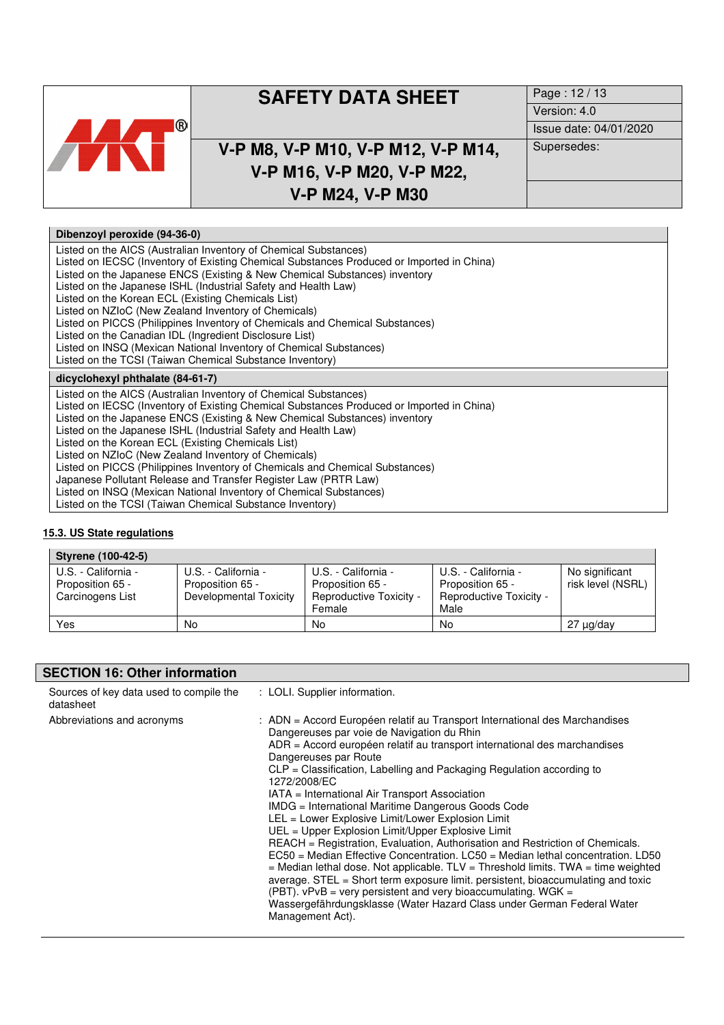

# **V-P M8, V-P M10, V-P M12, V-P M14, V-P M16, V-P M20, V-P M22, V-P M24, V-P M30**

| Page: 12 / 13          |
|------------------------|
| Version: 4.0           |
| Issue date: 04/01/2020 |
| Supersedes:            |
|                        |

#### **Dibenzoyl peroxide (94-36-0)** Listed on the AICS (Australian Inventory of Chemical Substances) Listed on IECSC (Inventory of Existing Chemical Substances Produced or Imported in China) Listed on the Japanese ENCS (Existing & New Chemical Substances) inventory Listed on the Japanese ISHL (Industrial Safety and Health Law) Listed on the Korean ECL (Existing Chemicals List) Listed on NZIoC (New Zealand Inventory of Chemicals) Listed on PICCS (Philippines Inventory of Chemicals and Chemical Substances) Listed on the Canadian IDL (Ingredient Disclosure List) Listed on INSQ (Mexican National Inventory of Chemical Substances) Listed on the TCSI (Taiwan Chemical Substance Inventory) **dicyclohexyl phthalate (84-61-7)** Listed on the AICS (Australian Inventory of Chemical Substances) Listed on IECSC (Inventory of Existing Chemical Substances Produced or Imported in China) Listed on the Japanese ENCS (Existing & New Chemical Substances) inventory Listed on the Japanese ISHL (Industrial Safety and Health Law) Listed on the Korean ECL (Existing Chemicals List) Listed on NZIoC (New Zealand Inventory of Chemicals) Listed on PICCS (Philippines Inventory of Chemicals and Chemical Substances) Japanese Pollutant Release and Transfer Register Law (PRTR Law) Listed on INSQ (Mexican National Inventory of Chemical Substances) Listed on the TCSI (Taiwan Chemical Substance Inventory)

## **15.3. US State regulations**

| Styrene (100-42-5)                                          |                                                                   |                                                                              |                                                                                   |                                     |
|-------------------------------------------------------------|-------------------------------------------------------------------|------------------------------------------------------------------------------|-----------------------------------------------------------------------------------|-------------------------------------|
| U.S. - California -<br>Proposition 65 -<br>Carcinogens List | U.S. - California -<br>Proposition 65 -<br>Developmental Toxicity | U.S. - California -<br>Proposition 65 -<br>Reproductive Toxicity -<br>Female | U.S. - California -<br>Proposition 65 -<br><b>Reproductive Toxicity -</b><br>Male | No significant<br>risk level (NSRL) |
| Yes                                                         | No                                                                | No                                                                           | No                                                                                | $27 \mu g/day$                      |

| <b>SECTION 16: Other information</b>                 |                                                                                                                                                                                                                                                                                                                                                                                                                                                                                                                                                                                                                                                                                                                                                                                                                                                                                                                                                                                                                                                              |  |  |  |
|------------------------------------------------------|--------------------------------------------------------------------------------------------------------------------------------------------------------------------------------------------------------------------------------------------------------------------------------------------------------------------------------------------------------------------------------------------------------------------------------------------------------------------------------------------------------------------------------------------------------------------------------------------------------------------------------------------------------------------------------------------------------------------------------------------------------------------------------------------------------------------------------------------------------------------------------------------------------------------------------------------------------------------------------------------------------------------------------------------------------------|--|--|--|
| Sources of key data used to compile the<br>datasheet | : LOLI. Supplier information.                                                                                                                                                                                                                                                                                                                                                                                                                                                                                                                                                                                                                                                                                                                                                                                                                                                                                                                                                                                                                                |  |  |  |
| Abbreviations and acronyms                           | : ADN = Accord Européen relatif au Transport International des Marchandises<br>Dangereuses par voie de Navigation du Rhin<br>ADR = Accord européen relatif au transport international des marchandises<br>Dangereuses par Route<br>CLP = Classification, Labelling and Packaging Regulation according to<br>1272/2008/EC<br>IATA = International Air Transport Association<br>IMDG = International Maritime Dangerous Goods Code<br>LEL = Lower Explosive Limit/Lower Explosion Limit<br>UEL = Upper Explosion Limit/Upper Explosive Limit<br>REACH = Registration, Evaluation, Authorisation and Restriction of Chemicals.<br>$EC50$ = Median Effective Concentration. $LC50$ = Median lethal concentration. LD50<br>$=$ Median lethal dose. Not applicable. TLV = Threshold limits. TWA = time weighted<br>average. STEL = Short term exposure limit. persistent, bioaccumulating and toxic<br>(PBT). vPvB = very persistent and very bioaccumulating. WGK =<br>Wassergefährdungsklasse (Water Hazard Class under German Federal Water<br>Management Act). |  |  |  |